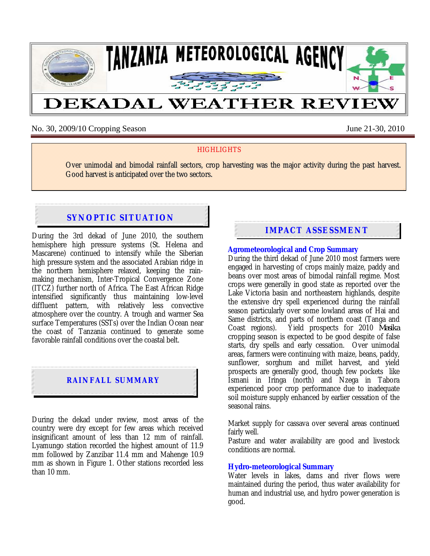

No. 30, 2009/10 Cropping Season June 21-30, 2010

### **HIGHLIGHTS**

Over unimodal and bimodal rainfall sectors, crop harvesting was the major activity during the past harvest. Good harvest is anticipated over the two sectors.

# **SYNOPTIC SITUATION**

During the 3rd dekad of June 2010, the southern hemisphere high pressure systems (St. Helena and Mascarene) continued to intensify while the Siberian high pressure system and the associated Arabian ridge in the northern hemisphere relaxed, keeping the rainmaking mechanism, Inter-Tropical Convergence Zone (ITCZ) further north of Africa. The East African Ridge intensified significantly thus maintaining low-level diffluent pattern, with relatively less convective atmosphere over the country. A trough and warmer Sea surface Temperatures (SSTs) over the Indian Ocean near the coast of Tanzania continued to generate some favorable rainfall conditions over the coastal belt.

### **RAINFALL SUMMARY**

During the dekad under review, most areas of the country were dry except for few areas which received insignificant amount of less than 12 mm of rainfall. Lyamungo station recorded the highest amount of 11.9 mm followed by Zanzibar 11.4 mm and Mahenge 10.9 mm as shown in Figure 1. Other stations recorded less than 10 mm.

## **IMPACT ASSESSMENT**

#### **Agrometeorological and Crop Summary**

During the third dekad of June 2010 most farmers were engaged in harvesting of crops mainly maize, paddy and beans over most areas of bimodal rainfall regime. Most crops were generally in good state as reported over the Lake Victoria basin and northeastern highlands, despite the extensive dry spell experienced during the rainfall season particularly over some lowland areas of Hai and Same districts, and parts of northern coast (Tanga and Coast regions). Yield prospects for 2010 *Masika*  cropping season is expected to be good despite of false starts, dry spells and early cessation. Over unimodal areas, farmers were continuing with maize, beans, paddy, sunflower, sorghum and millet harvest, and yield prospects are generally good, though few pockets like Ismani in Iringa (north) and Nzega in Tabora experienced poor crop performance due to inadequate soil moisture supply enhanced by earlier cessation of the seasonal rains.

Market supply for cassava over several areas continued fairly well.

Pasture and water availability are good and livestock conditions are normal.

### **Hydro-meteorological Summary**

Water levels in lakes, dams and river flows were maintained during the period, thus water availability for human and industrial use, and hydro power generation is good.